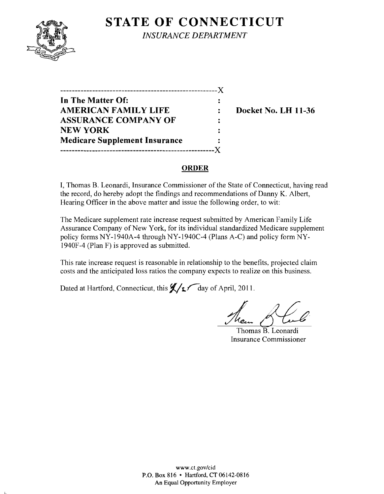# **STATE OF CONNECTICUT**



L

*INSURANCE DEPARTMENT* 

------------------------------------------------------)( **In The Matter Of:**   $\ddot{\cdot}$ **AMERICAN FAMILY LIFE : Docket No. LH 11-36 ASSURANCE COMPANY OF**  NEW YORK **Medicare Supplement Insurance**  -----------------------------------------------------)(

### **ORDER**

I, Thomas B. Leonardi, Insurance Commissioner of the State of Connecticut, having read the record, do hereby adopt the findings and recommendations of Danny K. Albert, Hearing Officer in the above matter and issue the following order, to wit:

The Medicare supplement rate increase request submitted by American Family Life Assurance Company of New York, for its individual standardized Medicare supplement policy forms NY-1940A-4 through NY-1940C-4 (Plans A-C) and policy form NY-1940F-4 (Plan F) is approved as submitted.

This rate increase request is reasonable in relationship to the benefits, projected claim costs and the anticipated loss ratios the company expects to realize on this business.

Dated at Hartford, Connecticut, this  $\frac{1}{2}$   $\sqrt{2}$  day of April, 2011.

Them of Cul

Thomas B. Leonardi Insurance Commissioner

www.ct.gov/cid P.O. Box 816 • Hartford, CT 06142-0816 An Equal Opportunity Employer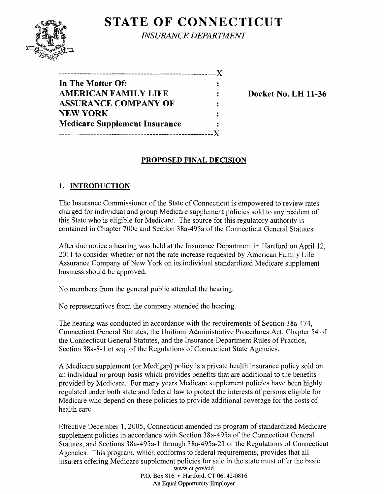# **STATE OF CONNECTICUT**



*INSURANCE DEPARTMENT* 

| ------------------------             |  |
|--------------------------------------|--|
| In The Matter Of:                    |  |
| <b>AMERICAN FAMILY LIFE</b>          |  |
| <b>ASSURANCE COMPANY OF</b>          |  |
| <b>NEW YORK</b>                      |  |
| <b>Medicare Supplement Insurance</b> |  |
|                                      |  |
|                                      |  |

**Docket No. LH 11-36** 

### **PROPOSED FINAL DECISION**

### **1. INTRODUCTION**

The Insurance Commissioner of the State of Connecticut is empowered to review rates charged for individual and group Medicare supplement policies sold to any resident of this State who is eligible for Medicare. The source for this regulatory authority is contained in Chapter 700c and Section 38a-495a of the Connecticut General Statutes.

After due notice a hearing was held at the Insurance Department in Hartford on April 12. 2011 to consider whether or not the rate increase requested by American Family Life Assurance Company of New York on its individual standardized Medicare supplement business should be approved.

No members from the general public attended the hearing.

No representatives from the company attended the hearing.

The hearing was conducted in accordance with the requirements of Section 38a-474, Connecticut General Statutes, the Uniform Administrative Procedures Act, Chapter 54 of the Connecticut General Statutes, and the Insurance Department Rules of Practice, Section 38a-8-l et seq. of the Regulations of Connecticut State Agencies.

A Medicare supplement (or Medigap) policy is a private health insurance policy sold on an individual or group basis which provides benefits that are additional to the benefits provided by Medicare. For many years Medicare supplement policies have been highly regulated under both state and federal law to protect the interests of persons eligible for Medicare who depend on these policies to provide additional coverage for the costs of health care.

Effective December 1, 2005, Connecticut amended its program of standardized Medicare supplement policies in accordance with Section 38a-495a of the Connecticut General Statutes, and Sections 38a-495a-l through 38a-495a-21 of the Regulations of Connecticut Agencies. This program, which conforms to federal requirements, provides that all insurers offering Medicare supplement policies for sale in the state must offer the basic www.ct.gov/cid

P.O. Box 816 • Hartford, CT 06142-0816 An Equal Opportunity Employer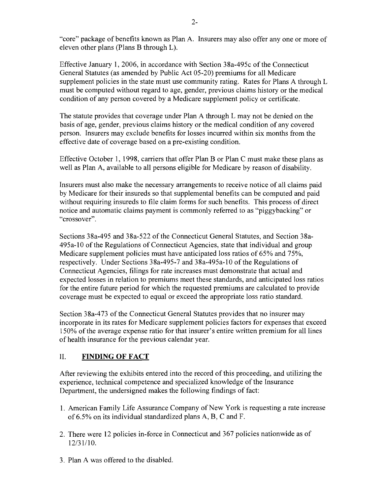"core" package of benefits known as Plan A. Insurers may also offer anyone or more of eleven other plans (Plans B through L).

Effective January 1,2006, in accordance with Section 38a-495c ofthe Connecticut General Statutes (as amended by Public Act 05-20) premiums for all Medicare supplement policies in the state must use community rating. Rates for Plans A through L must be computed without regard to age, gender, previous claims history or the medical condition of any person covered by a Medicare supplement policy or certificate.

The statute provides that coverage under Plan A through L may not be denied on the basis of age, gender, previous claims history or the medical condition of any covered person. Insurers may exclude benefits for losses incurred within six months from the effective date of coverage based on a pre-existing condition.

Effective October 1, 1998, carriers that offer Plan B or Plan C must make these plans as well as Plan A, available to all persons eligible for Medicare by reason of disability.

Insurers must also make the necessary arrangements to receive notice of all claims paid by Medicare for their insureds so that supplemental benefits can be computed and paid without requiring insureds to file claim forms for such benefits. This process of direct notice and automatic claims payment is commonly referred to as "piggybacking" or "crossover".

Sections 38a-495 and 38a-522 of the Connecticut General Statutes, and Section 38a-495a-1O ofthe Regulations of Connecticut Agencies, state that individual and group Medicare supplement policies must have anticipated loss ratios of 65% and 75%, respectively. Under Sections 38a-495-7 and 38a-495a-10 of the Regulations of Connecticut Agencies, filings for rate increases must demonstrate that actual and expected losses in relation to premiums meet these standards, and anticipated loss ratios for the entire future period for which the requested premiums are calculated to provide coverage must be expected to equal or exceed the appropriate loss ratio standard.

Section 38a-473 of the Connecticut General Statutes provides that no insurer may incorporate in its rates for Medicare supplement policies factors for expenses that exceed 150% of the average expense ratio for that insurer's entire written premium for all lines of health insurance for the previous calendar year.

#### II. **FINDING OF FACT**

After reviewing the exhibits entered into the record of this proceeding, and utilizing the experience, technical competence and specialized knowledge of the Insurance Department, the undersigned makes the following findings of fact:

- 1. American Family Life Assurance Company of New York is requesting a rate increase of 6.5% on its individual standardized plans A, B, C and F.
- 2. There were 12 policies in-force in Connecticut and 367 policies nationwide as of 12/31110.
- 3. Plan A was offered to the disabled.